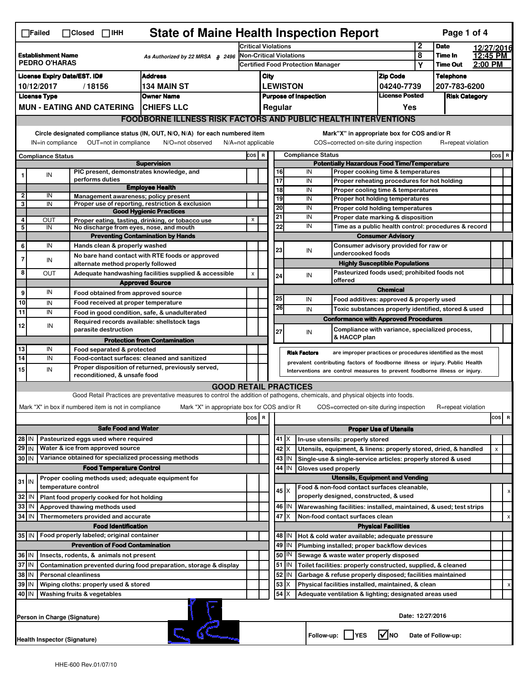|                                                                                                                                                                                                                                                                                       | <b>State of Maine Health Inspection Report</b><br>Page 1 of 4<br>$\Box$ Failed<br>$\Box$ Closed $\Box$ IHH |                                                       |                                                                                                                                   |     |                                                                              |                 |                                                                                                                        |                                                              |                                                                            |                            |                      |                    |         |       |   |
|---------------------------------------------------------------------------------------------------------------------------------------------------------------------------------------------------------------------------------------------------------------------------------------|------------------------------------------------------------------------------------------------------------|-------------------------------------------------------|-----------------------------------------------------------------------------------------------------------------------------------|-----|------------------------------------------------------------------------------|-----------------|------------------------------------------------------------------------------------------------------------------------|--------------------------------------------------------------|----------------------------------------------------------------------------|----------------------------|----------------------|--------------------|---------|-------|---|
| Establishment Name<br>As Authorized by 22 MRSA $$$ 2496<br><b>PEDRO O'HARAS</b>                                                                                                                                                                                                       |                                                                                                            |                                                       | <b>Critical Violations</b>                                                                                                        |     |                                                                              |                 |                                                                                                                        | 2                                                            | <b>Date</b>                                                                | 12/27/2016                 |                      |                    |         |       |   |
|                                                                                                                                                                                                                                                                                       |                                                                                                            |                                                       | Non-Critical Violations                                                                                                           |     |                                                                              |                 |                                                                                                                        |                                                              | 8                                                                          | Time In                    | 12:45 PM             |                    |         |       |   |
|                                                                                                                                                                                                                                                                                       |                                                                                                            |                                                       |                                                                                                                                   |     | <b>Certified Food Protection Manager</b>                                     |                 |                                                                                                                        |                                                              |                                                                            |                            | Υ                    | <b>Time Out</b>    | 2:00 PM |       |   |
| <b>Address</b><br><b>License Expiry Date/EST. ID#</b>                                                                                                                                                                                                                                 |                                                                                                            |                                                       |                                                                                                                                   |     | City                                                                         |                 |                                                                                                                        |                                                              |                                                                            | <b>Zip Code</b>            |                      | <b>Telephone</b>   |         |       |   |
| 10/12/2017<br>/18156<br>134 MAIN ST                                                                                                                                                                                                                                                   |                                                                                                            |                                                       |                                                                                                                                   |     |                                                                              | <b>LEWISTON</b> |                                                                                                                        |                                                              |                                                                            | 04240-7739                 |                      | 207-783-6200       |         |       |   |
|                                                                                                                                                                                                                                                                                       | <b>License Type</b>                                                                                        |                                                       | <b>Owner Name</b>                                                                                                                 |     | <b>License Posted</b><br><b>Purpose of Inspection</b>                        |                 |                                                                                                                        |                                                              |                                                                            |                            | <b>Risk Category</b> |                    |         |       |   |
|                                                                                                                                                                                                                                                                                       |                                                                                                            | <b>MUN - EATING AND CATERING</b>                      | <b>ICHIEFS LLC</b>                                                                                                                |     |                                                                              |                 | Regular                                                                                                                |                                                              |                                                                            | Yes                        |                      |                    |         |       |   |
|                                                                                                                                                                                                                                                                                       |                                                                                                            |                                                       | <b>FOODBORNE ILLNESS RISK FACTORS AND PUBLIC HEALTH INTERVENTIONS</b>                                                             |     |                                                                              |                 |                                                                                                                        |                                                              |                                                                            |                            |                      |                    |         |       |   |
| Circle designated compliance status (IN, OUT, N/O, N/A) for each numbered item<br>Mark"X" in appropriate box for COS and/or R<br>IN=in compliance<br>OUT=not in compliance<br>N/A=not applicable<br>COS=corrected on-site during inspection<br>N/O=not observed<br>R=repeat violation |                                                                                                            |                                                       |                                                                                                                                   |     |                                                                              |                 |                                                                                                                        |                                                              |                                                                            |                            |                      |                    |         |       |   |
| <b>Compliance Status</b>                                                                                                                                                                                                                                                              |                                                                                                            |                                                       |                                                                                                                                   |     | <b>Compliance Status</b><br>cos  <br>$\, {\bf R}$                            |                 |                                                                                                                        |                                                              |                                                                            |                            |                      |                    |         | COS R |   |
|                                                                                                                                                                                                                                                                                       |                                                                                                            |                                                       | <b>Supervision</b>                                                                                                                |     | <b>Potentially Hazardous Food Time/Temperature</b>                           |                 |                                                                                                                        |                                                              |                                                                            |                            |                      |                    |         |       |   |
|                                                                                                                                                                                                                                                                                       | IN                                                                                                         | PIC present, demonstrates knowledge, and              |                                                                                                                                   |     |                                                                              |                 | 16                                                                                                                     | IN                                                           | Proper cooking time & temperatures                                         |                            |                      |                    |         |       |   |
|                                                                                                                                                                                                                                                                                       |                                                                                                            | performs duties                                       | <b>Employee Health</b>                                                                                                            |     |                                                                              |                 | $\overline{17}$<br>IN<br>Proper reheating procedures for hot holding<br>18<br>IN<br>Proper cooling time & temperatures |                                                              |                                                                            |                            |                      |                    |         |       |   |
| $\mathbf{2}$                                                                                                                                                                                                                                                                          | IN                                                                                                         | Management awareness; policy present                  |                                                                                                                                   |     |                                                                              |                 | $\overline{19}$                                                                                                        | IN                                                           | Proper hot holding temperatures                                            |                            |                      |                    |         |       |   |
| 3                                                                                                                                                                                                                                                                                     | IN                                                                                                         |                                                       | Proper use of reporting, restriction & exclusion                                                                                  |     |                                                                              |                 | 20                                                                                                                     | IN                                                           |                                                                            |                            |                      |                    |         |       |   |
|                                                                                                                                                                                                                                                                                       |                                                                                                            |                                                       | <b>Good Hygienic Practices</b>                                                                                                    |     |                                                                              |                 | 21                                                                                                                     | IN                                                           | Proper cold holding temperatures<br>Proper date marking & disposition      |                            |                      |                    |         |       |   |
| 4<br>5                                                                                                                                                                                                                                                                                | OUT<br>IN                                                                                                  | No discharge from eyes, nose, and mouth               | Proper eating, tasting, drinking, or tobacco use                                                                                  | X   |                                                                              |                 | 22                                                                                                                     | IN                                                           | Time as a public health control: procedures & record                       |                            |                      |                    |         |       |   |
|                                                                                                                                                                                                                                                                                       |                                                                                                            |                                                       | <b>Preventing Contamination by Hands</b>                                                                                          |     |                                                                              |                 |                                                                                                                        |                                                              | <b>Consumer Advisory</b>                                                   |                            |                      |                    |         |       |   |
| 6                                                                                                                                                                                                                                                                                     | IN                                                                                                         | Hands clean & properly washed                         |                                                                                                                                   |     |                                                                              |                 |                                                                                                                        |                                                              | Consumer advisory provided for raw or                                      |                            |                      |                    |         |       |   |
|                                                                                                                                                                                                                                                                                       |                                                                                                            |                                                       | No bare hand contact with RTE foods or approved                                                                                   |     |                                                                              |                 | 23                                                                                                                     | IN                                                           | undercooked foods                                                          |                            |                      |                    |         |       |   |
| 7                                                                                                                                                                                                                                                                                     | IN                                                                                                         | alternate method properly followed                    |                                                                                                                                   |     |                                                                              |                 |                                                                                                                        |                                                              | <b>Highly Susceptible Populations</b>                                      |                            |                      |                    |         |       |   |
| 8                                                                                                                                                                                                                                                                                     | OUT                                                                                                        |                                                       | Adequate handwashing facilities supplied & accessible                                                                             | x   |                                                                              |                 | 24                                                                                                                     | IN                                                           | Pasteurized foods used; prohibited foods not                               |                            |                      |                    |         |       |   |
|                                                                                                                                                                                                                                                                                       |                                                                                                            |                                                       | <b>Approved Source</b>                                                                                                            |     |                                                                              |                 |                                                                                                                        |                                                              | offered                                                                    |                            |                      |                    |         |       |   |
| 9                                                                                                                                                                                                                                                                                     | IN                                                                                                         | Food obtained from approved source                    |                                                                                                                                   |     |                                                                              |                 |                                                                                                                        |                                                              |                                                                            | <b>Chemical</b>            |                      |                    |         |       |   |
| 10                                                                                                                                                                                                                                                                                    | IN                                                                                                         | Food received at proper temperature                   |                                                                                                                                   |     |                                                                              |                 | 25                                                                                                                     | IN                                                           | Food additives: approved & properly used                                   |                            |                      |                    |         |       |   |
| 11                                                                                                                                                                                                                                                                                    | IN                                                                                                         |                                                       | Food in good condition, safe, & unadulterated                                                                                     |     |                                                                              |                 | 26                                                                                                                     | IN                                                           | Toxic substances properly identified, stored & used                        |                            |                      |                    |         |       |   |
| 12                                                                                                                                                                                                                                                                                    | IN                                                                                                         | Required records available: shellstock tags           |                                                                                                                                   |     |                                                                              |                 |                                                                                                                        |                                                              | <b>Conformance with Approved Procedures</b>                                |                            |                      |                    |         |       |   |
|                                                                                                                                                                                                                                                                                       |                                                                                                            | parasite destruction                                  |                                                                                                                                   |     |                                                                              |                 | 27                                                                                                                     | IN                                                           | Compliance with variance, specialized process,                             |                            |                      |                    |         |       |   |
|                                                                                                                                                                                                                                                                                       |                                                                                                            |                                                       | <b>Protection from Contamination</b>                                                                                              |     |                                                                              |                 |                                                                                                                        |                                                              | & HACCP plan                                                               |                            |                      |                    |         |       |   |
| 13                                                                                                                                                                                                                                                                                    | IN                                                                                                         | Food separated & protected                            |                                                                                                                                   |     |                                                                              |                 |                                                                                                                        | <b>Risk Factors</b>                                          | are improper practices or procedures identified as the most                |                            |                      |                    |         |       |   |
| 14                                                                                                                                                                                                                                                                                    | IN                                                                                                         |                                                       | Food-contact surfaces: cleaned and sanitized                                                                                      |     | prevalent contributing factors of foodborne illness or injury. Public Health |                 |                                                                                                                        |                                                              |                                                                            |                            |                      |                    |         |       |   |
| 15                                                                                                                                                                                                                                                                                    | IN                                                                                                         | reconditioned, & unsafe food                          | Proper disposition of returned, previously served,                                                                                |     |                                                                              |                 |                                                                                                                        |                                                              | Interventions are control measures to prevent foodborne illness or injury. |                            |                      |                    |         |       |   |
|                                                                                                                                                                                                                                                                                       |                                                                                                            |                                                       | <b>GOOD RETAIL PRACTICES</b>                                                                                                      |     |                                                                              |                 |                                                                                                                        |                                                              |                                                                            |                            |                      |                    |         |       |   |
|                                                                                                                                                                                                                                                                                       |                                                                                                            |                                                       | Good Retail Practices are preventative measures to control the addition of pathogens, chemicals, and physical objects into foods. |     |                                                                              |                 |                                                                                                                        |                                                              |                                                                            |                            |                      |                    |         |       |   |
|                                                                                                                                                                                                                                                                                       |                                                                                                            | Mark "X" in box if numbered item is not in compliance |                                                                                                                                   |     |                                                                              |                 |                                                                                                                        |                                                              |                                                                            |                            |                      |                    |         |       |   |
|                                                                                                                                                                                                                                                                                       |                                                                                                            |                                                       | Mark "X" in appropriate box for COS and/or R                                                                                      | cos | R                                                                            |                 |                                                                                                                        |                                                              | COS=corrected on-site during inspection                                    |                            |                      | R=repeat violation |         |       |   |
|                                                                                                                                                                                                                                                                                       |                                                                                                            |                                                       |                                                                                                                                   |     |                                                                              |                 |                                                                                                                        |                                                              |                                                                            |                            |                      |                    |         | cos   | R |
| <b>Safe Food and Water</b>                                                                                                                                                                                                                                                            |                                                                                                            |                                                       |                                                                                                                                   |     |                                                                              |                 |                                                                                                                        |                                                              | <b>Proper Use of Utensils</b>                                              |                            |                      |                    |         |       |   |
| Pasteurized eggs used where required<br>28 IN                                                                                                                                                                                                                                         |                                                                                                            |                                                       |                                                                                                                                   |     |                                                                              | $41$ $X$        |                                                                                                                        | In-use utensils: properly stored                             |                                                                            |                            |                      |                    |         |       |   |
| $29$ IN                                                                                                                                                                                                                                                                               |                                                                                                            | Water & ice from approved source                      |                                                                                                                                   |     |                                                                              |                 | 42 X                                                                                                                   |                                                              | Utensils, equipment, & linens: properly stored, dried, & handled           |                            |                      |                    |         | X     |   |
| 30 IN                                                                                                                                                                                                                                                                                 |                                                                                                            | Variance obtained for specialized processing methods  |                                                                                                                                   |     |                                                                              |                 | $43$   IN                                                                                                              |                                                              | Single-use & single-service articles: properly stored & used               |                            |                      |                    |         |       |   |
|                                                                                                                                                                                                                                                                                       |                                                                                                            | <b>Food Temperature Control</b>                       |                                                                                                                                   |     |                                                                              |                 | 44 IN                                                                                                                  | Gloves used properly                                         |                                                                            |                            |                      |                    |         |       |   |
| $31$ IN                                                                                                                                                                                                                                                                               |                                                                                                            | Proper cooling methods used; adequate equipment for   |                                                                                                                                   |     |                                                                              |                 | <b>Utensils, Equipment and Vending</b>                                                                                 |                                                              |                                                                            |                            |                      |                    |         |       |   |
|                                                                                                                                                                                                                                                                                       |                                                                                                            | temperature control                                   |                                                                                                                                   |     |                                                                              |                 | 45   X                                                                                                                 |                                                              | Food & non-food contact surfaces cleanable,                                |                            |                      |                    |         |       | х |
| 32 IN                                                                                                                                                                                                                                                                                 |                                                                                                            | Plant food properly cooked for hot holding            |                                                                                                                                   |     |                                                                              |                 |                                                                                                                        |                                                              | properly designed, constructed, & used                                     |                            |                      |                    |         |       |   |
| 33 IN                                                                                                                                                                                                                                                                                 |                                                                                                            | Approved thawing methods used                         |                                                                                                                                   |     |                                                                              |                 | 46   IN                                                                                                                |                                                              | Warewashing facilities: installed, maintained, & used; test strips         |                            |                      |                    |         |       |   |
| 34 IN                                                                                                                                                                                                                                                                                 |                                                                                                            | Thermometers provided and accurate                    |                                                                                                                                   |     |                                                                              |                 | 47<br>ΙX                                                                                                               |                                                              | Non-food contact surfaces clean                                            |                            |                      |                    |         |       | X |
|                                                                                                                                                                                                                                                                                       |                                                                                                            | <b>Food Identification</b>                            |                                                                                                                                   |     |                                                                              |                 |                                                                                                                        |                                                              |                                                                            | <b>Physical Facilities</b> |                      |                    |         |       |   |
|                                                                                                                                                                                                                                                                                       |                                                                                                            | 35 IN   Food properly labeled; original container     |                                                                                                                                   |     |                                                                              |                 | 48   IN                                                                                                                |                                                              | Hot & cold water available; adequate pressure                              |                            |                      |                    |         |       |   |
| <b>Prevention of Food Contamination</b>                                                                                                                                                                                                                                               |                                                                                                            |                                                       |                                                                                                                                   |     |                                                                              | 49   IN         |                                                                                                                        | Plumbing installed; proper backflow devices                  |                                                                            |                            |                      |                    |         |       |   |
| 36 IN<br>Insects, rodents, & animals not present                                                                                                                                                                                                                                      |                                                                                                            |                                                       |                                                                                                                                   |     |                                                                              | 50   IN         |                                                                                                                        | Sewage & waste water properly disposed                       |                                                                            |                            |                      |                    |         |       |   |
| 37<br>ΙN<br>Contamination prevented during food preparation, storage & display                                                                                                                                                                                                        |                                                                                                            |                                                       |                                                                                                                                   |     |                                                                              | 51 IN           |                                                                                                                        | Toilet facilities: properly constructed, supplied, & cleaned |                                                                            |                            |                      |                    |         |       |   |
| 38<br>  IN<br><b>Personal cleanliness</b>                                                                                                                                                                                                                                             |                                                                                                            |                                                       |                                                                                                                                   |     |                                                                              |                 | 52<br>IN                                                                                                               |                                                              | Garbage & refuse properly disposed; facilities maintained                  |                            |                      |                    |         |       |   |
|                                                                                                                                                                                                                                                                                       | 39 IN<br>Wiping cloths: properly used & stored                                                             |                                                       |                                                                                                                                   |     |                                                                              |                 | 53<br>X                                                                                                                |                                                              | Physical facilities installed, maintained, & clean                         |                            |                      |                    |         |       |   |
|                                                                                                                                                                                                                                                                                       | 54<br>40 IN<br>X<br>Washing fruits & vegetables<br>Adequate ventilation & lighting; designated areas used  |                                                       |                                                                                                                                   |     |                                                                              |                 |                                                                                                                        |                                                              |                                                                            |                            |                      |                    |         |       |   |
|                                                                                                                                                                                                                                                                                       | Date: 12/27/2016<br>Person in Charge (Signature)                                                           |                                                       |                                                                                                                                   |     |                                                                              |                 |                                                                                                                        |                                                              |                                                                            |                            |                      |                    |         |       |   |
|                                                                                                                                                                                                                                                                                       | l√lno<br>Follow-up:<br><b>YES</b><br>Date of Follow-up:<br>Health Inspector (Signature)                    |                                                       |                                                                                                                                   |     |                                                                              |                 |                                                                                                                        |                                                              |                                                                            |                            |                      |                    |         |       |   |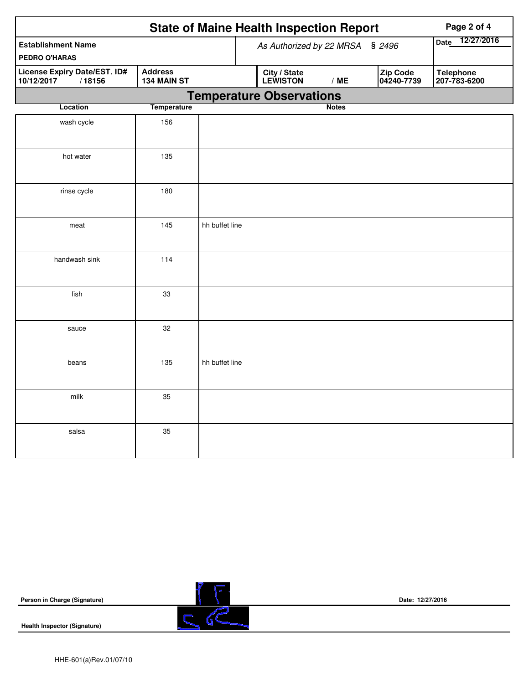|                                                                                       |                    |                |  | <b>State of Maine Health Inspection Report</b> | Page 2 of 4               |                        |                                  |
|---------------------------------------------------------------------------------------|--------------------|----------------|--|------------------------------------------------|---------------------------|------------------------|----------------------------------|
| <b>Establishment Name</b><br>PEDRO O'HARAS                                            |                    |                |  | As Authorized by 22 MRSA                       | 12/27/2016<br><b>Date</b> |                        |                                  |
| <b>Address</b><br>License Expiry Date/EST. ID#<br>10/12/2017<br>/18156<br>134 MAIN ST |                    |                |  | City / State<br>LEWISTON                       | /ME                       | Zip Code<br>04240-7739 | <b>Telephone</b><br>207-783-6200 |
|                                                                                       |                    |                |  | <b>Temperature Observations</b>                |                           |                        |                                  |
| Location                                                                              | <b>Temperature</b> |                |  |                                                | <b>Notes</b>              |                        |                                  |
| wash cycle                                                                            | 156                |                |  |                                                |                           |                        |                                  |
| hot water                                                                             | 135                |                |  |                                                |                           |                        |                                  |
| rinse cycle                                                                           | 180                |                |  |                                                |                           |                        |                                  |
| meat                                                                                  | 145                | hh buffet line |  |                                                |                           |                        |                                  |
| handwash sink                                                                         | 114                |                |  |                                                |                           |                        |                                  |
| fish                                                                                  | 33                 |                |  |                                                |                           |                        |                                  |
| sauce                                                                                 | 32                 |                |  |                                                |                           |                        |                                  |
| beans                                                                                 | 135                | hh buffet line |  |                                                |                           |                        |                                  |
| milk                                                                                  | 35                 |                |  |                                                |                           |                        |                                  |
| salsa                                                                                 | 35                 |                |  |                                                |                           |                        |                                  |

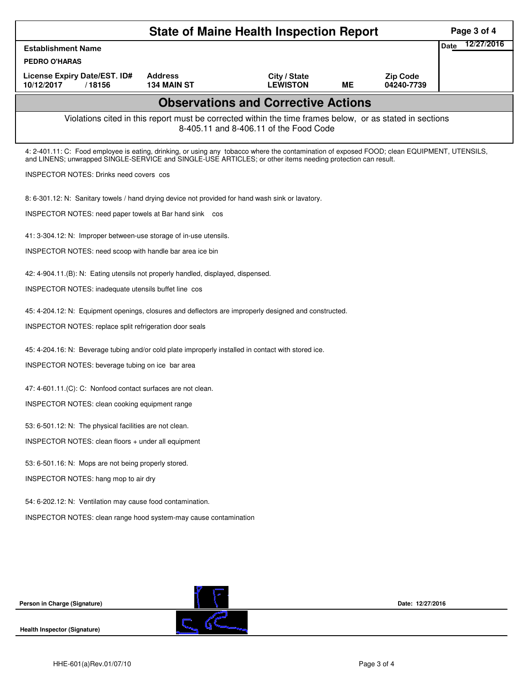| <b>State of Maine Health Inspection Report</b><br>Page 3 of 4                                                                                                                                                                                              |                    |                                                                                                                                                    |           |                  |             |            |  |  |
|------------------------------------------------------------------------------------------------------------------------------------------------------------------------------------------------------------------------------------------------------------|--------------------|----------------------------------------------------------------------------------------------------------------------------------------------------|-----------|------------------|-------------|------------|--|--|
| <b>Establishment Name</b>                                                                                                                                                                                                                                  |                    |                                                                                                                                                    |           |                  | <b>Date</b> | 12/27/2016 |  |  |
| <b>PEDRO O'HARAS</b><br>License Expiry Date/EST. ID#                                                                                                                                                                                                       | <b>Address</b>     | City / State                                                                                                                                       |           | <b>Zip Code</b>  |             |            |  |  |
| 10/12/2017<br>/18156                                                                                                                                                                                                                                       | <b>134 MAIN ST</b> | <b>LEWISTON</b>                                                                                                                                    | <b>ME</b> | 04240-7739       |             |            |  |  |
|                                                                                                                                                                                                                                                            |                    | <b>Observations and Corrective Actions</b>                                                                                                         |           |                  |             |            |  |  |
|                                                                                                                                                                                                                                                            |                    | Violations cited in this report must be corrected within the time frames below, or as stated in sections<br>8-405.11 and 8-406.11 of the Food Code |           |                  |             |            |  |  |
| 4: 2-401.11: C: Food employee is eating, drinking, or using any tobacco where the contamination of exposed FOOD; clean EQUIPMENT, UTENSILS,<br>and LINENS; unwrapped SINGLE-SERVICE and SINGLE-USE ARTICLES; or other items needing protection can result. |                    |                                                                                                                                                    |           |                  |             |            |  |  |
| <b>INSPECTOR NOTES: Drinks need covers cos</b>                                                                                                                                                                                                             |                    |                                                                                                                                                    |           |                  |             |            |  |  |
| 8: 6-301.12: N: Sanitary towels / hand drying device not provided for hand wash sink or lavatory.                                                                                                                                                          |                    |                                                                                                                                                    |           |                  |             |            |  |  |
| INSPECTOR NOTES: need paper towels at Bar hand sink cos                                                                                                                                                                                                    |                    |                                                                                                                                                    |           |                  |             |            |  |  |
| 41: 3-304.12: N: Improper between-use storage of in-use utensils.                                                                                                                                                                                          |                    |                                                                                                                                                    |           |                  |             |            |  |  |
| INSPECTOR NOTES: need scoop with handle bar area ice bin                                                                                                                                                                                                   |                    |                                                                                                                                                    |           |                  |             |            |  |  |
| 42: 4-904.11.(B): N: Eating utensils not properly handled, displayed, dispensed.                                                                                                                                                                           |                    |                                                                                                                                                    |           |                  |             |            |  |  |
| INSPECTOR NOTES: inadequate utensils buffet line cos                                                                                                                                                                                                       |                    |                                                                                                                                                    |           |                  |             |            |  |  |
| 45: 4-204.12: N: Equipment openings, closures and deflectors are improperly designed and constructed.                                                                                                                                                      |                    |                                                                                                                                                    |           |                  |             |            |  |  |
| INSPECTOR NOTES: replace split refrigeration door seals                                                                                                                                                                                                    |                    |                                                                                                                                                    |           |                  |             |            |  |  |
| 45: 4-204.16: N: Beverage tubing and/or cold plate improperly installed in contact with stored ice.                                                                                                                                                        |                    |                                                                                                                                                    |           |                  |             |            |  |  |
| INSPECTOR NOTES: beverage tubing on ice bar area                                                                                                                                                                                                           |                    |                                                                                                                                                    |           |                  |             |            |  |  |
| 47: 4-601.11.(C): C: Nonfood contact surfaces are not clean.                                                                                                                                                                                               |                    |                                                                                                                                                    |           |                  |             |            |  |  |
| INSPECTOR NOTES: clean cooking equipment range                                                                                                                                                                                                             |                    |                                                                                                                                                    |           |                  |             |            |  |  |
| 53: 6-501.12: N: The physical facilities are not clean.                                                                                                                                                                                                    |                    |                                                                                                                                                    |           |                  |             |            |  |  |
| INSPECTOR NOTES: clean floors + under all equipment                                                                                                                                                                                                        |                    |                                                                                                                                                    |           |                  |             |            |  |  |
| 53: 6-501.16: N: Mops are not being properly stored.                                                                                                                                                                                                       |                    |                                                                                                                                                    |           |                  |             |            |  |  |
| INSPECTOR NOTES: hang mop to air dry                                                                                                                                                                                                                       |                    |                                                                                                                                                    |           |                  |             |            |  |  |
| 54: 6-202.12: N: Ventilation may cause food contamination.                                                                                                                                                                                                 |                    |                                                                                                                                                    |           |                  |             |            |  |  |
| INSPECTOR NOTES: clean range hood system-may cause contamination                                                                                                                                                                                           |                    |                                                                                                                                                    |           |                  |             |            |  |  |
|                                                                                                                                                                                                                                                            |                    |                                                                                                                                                    |           |                  |             |            |  |  |
|                                                                                                                                                                                                                                                            |                    |                                                                                                                                                    |           |                  |             |            |  |  |
|                                                                                                                                                                                                                                                            |                    |                                                                                                                                                    |           |                  |             |            |  |  |
|                                                                                                                                                                                                                                                            |                    |                                                                                                                                                    |           |                  |             |            |  |  |
| Person in Charge (Signature)                                                                                                                                                                                                                               |                    |                                                                                                                                                    |           | Date: 12/27/2016 |             |            |  |  |
| <b>Health Inspector (Signature)</b>                                                                                                                                                                                                                        |                    |                                                                                                                                                    |           |                  |             |            |  |  |